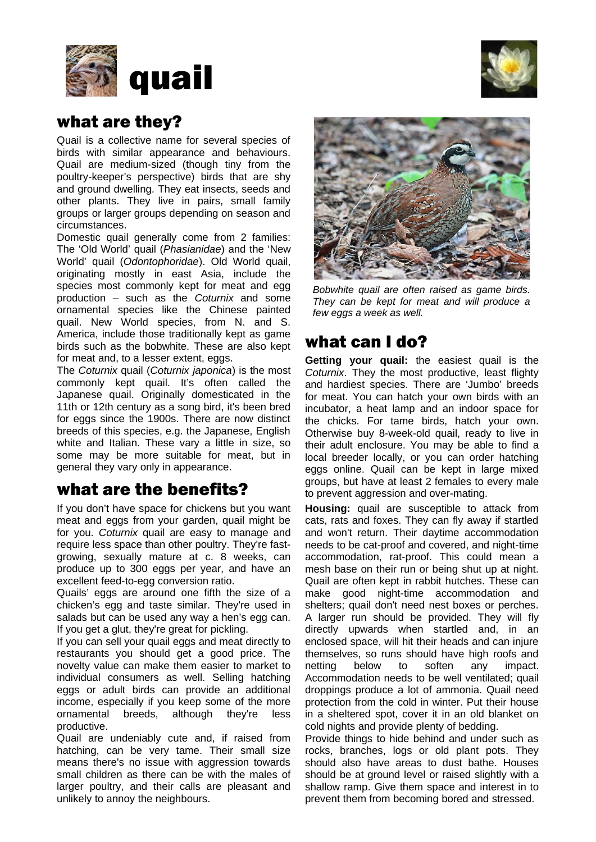



## what are they?

Quail is a collective name for several species of birds with similar appearance and behaviours. Quail are medium-sized (though tiny from the poultry-keeper's perspective) birds that are shy and ground dwelling. They eat insects, seeds and other plants. They live in pairs, small family groups or larger groups depending on season and circumstances.

Domestic quail generally come from 2 families: The 'Old World' quail (*Phasianidae*) and the 'New World' quail (*Odontophoridae*). Old World quail, originating mostly in east Asia, include the species most commonly kept for meat and egg production – such as the *Coturnix* and some ornamental species like the Chinese painted quail. New World species, from N. and S. America, include those traditionally kept as game birds such as the bobwhite. These are also kept for meat and, to a lesser extent, eggs.

The *Coturnix* quail (*Coturnix japonica*) is the most commonly kept quail. It's often called the Japanese quail. Originally domesticated in the 11th or 12th century as a song bird, it's been bred for eggs since the 1900s. There are now distinct breeds of this species, e.g. the Japanese, English white and Italian. These vary a little in size, so some may be more suitable for meat, but in general they vary only in appearance.

## what are the benefits?

If you don't have space for chickens but you want meat and eggs from your garden, quail might be for you. *Coturnix* quail are easy to manage and require less space than other poultry. They're fastgrowing, sexually mature at c. 8 weeks, can produce up to 300 eggs per year, and have an excellent feed-to-egg conversion ratio.

Quails' eggs are around one fifth the size of a chicken's egg and taste similar. They're used in salads but can be used any way a hen's egg can. If you get a glut, they're great for pickling.

If you can sell your quail eggs and meat directly to restaurants you should get a good price. The novelty value can make them easier to market to individual consumers as well. Selling hatching eggs or adult birds can provide an additional income, especially if you keep some of the more ornamental breeds, although they're less productive.

Quail are undeniably cute and, if raised from hatching, can be very tame. Their small size means there's no issue with aggression towards small children as there can be with the males of larger poultry, and their calls are pleasant and unlikely to annoy the neighbours.



*Bobwhite quail are often raised as game birds. They can be kept for meat and will produce a few eggs a week as well.*

## what can I do?

**Getting your quail:** the easiest quail is the *Coturnix*. They the most productive, least flighty and hardiest species. There are 'Jumbo' breeds for meat. You can hatch your own birds with an incubator, a heat lamp and an indoor space for the chicks. For tame birds, hatch your own. Otherwise buy 8-week-old quail, ready to live in their adult enclosure. You may be able to find a local breeder locally, or you can order hatching eggs online. Quail can be kept in large mixed groups, but have at least 2 females to every male to prevent aggression and over-mating.

**Housing:** quail are susceptible to attack from cats, rats and foxes. They can fly away if startled and won't return. Their daytime accommodation needs to be cat-proof and covered, and night-time accommodation, rat-proof. This could mean a mesh base on their run or being shut up at night. Quail are often kept in rabbit hutches. These can make good night-time accommodation and shelters; quail don't need nest boxes or perches. A larger run should be provided. They will fly directly upwards when startled and, in an enclosed space, will hit their heads and can injure themselves, so runs should have high roofs and netting below to soften any impact. Accommodation needs to be well ventilated; quail droppings produce a lot of ammonia. Quail need protection from the cold in winter. Put their house in a sheltered spot, cover it in an old blanket on cold nights and provide plenty of bedding.

Provide things to hide behind and under such as rocks, branches, logs or old plant pots. They should also have areas to dust bathe. Houses should be at ground level or raised slightly with a shallow ramp. Give them space and interest in to prevent them from becoming bored and stressed.